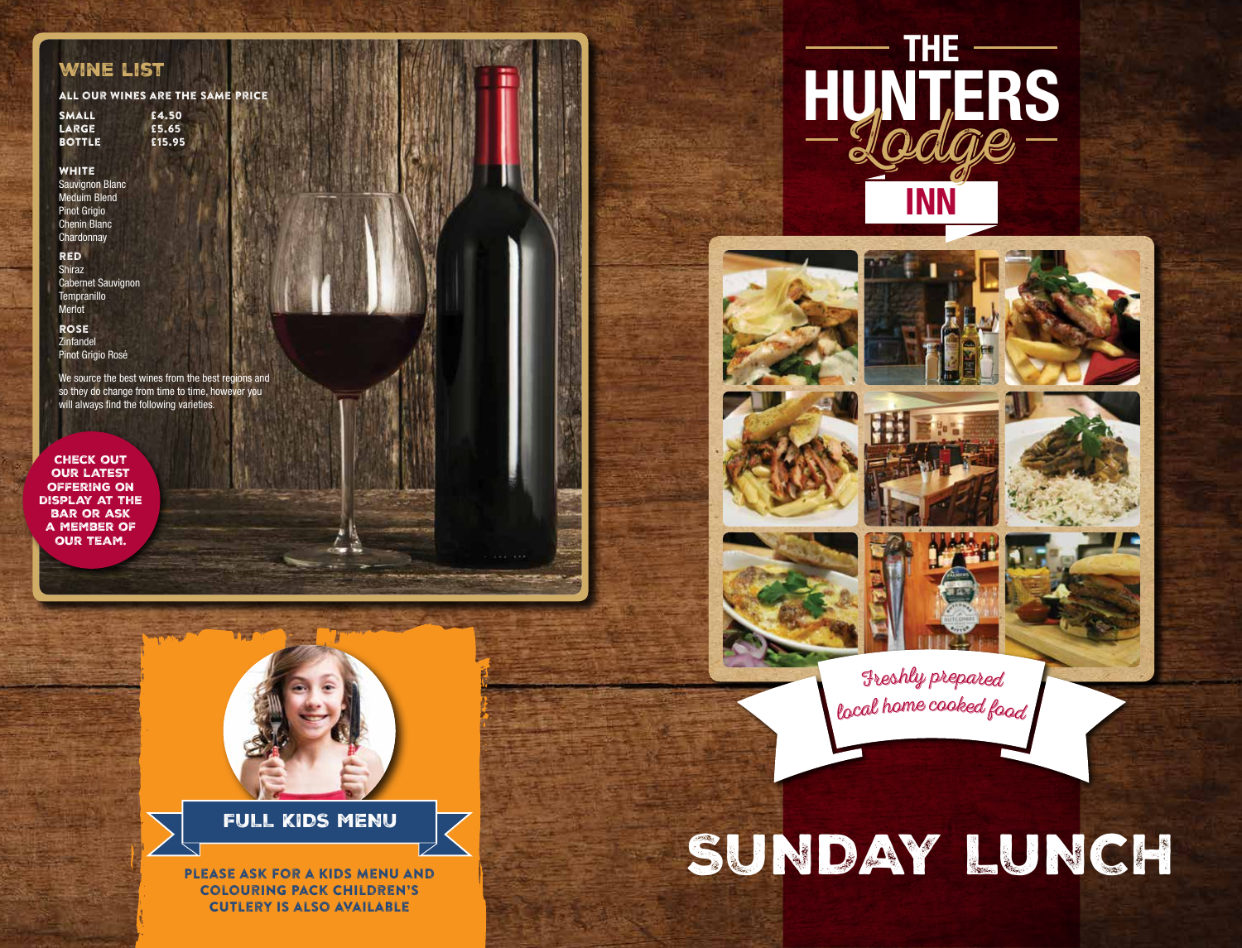#### wine list

All our wines are the same price

Small £4.50 Large £5.65 **BOTTLE** 

**WHITE** Sauvignon Blanc Meduim Blend **Pinot Grigio** Chenin Blanc **Chardonnay** 

Red Shiraz Cabernet Sauvignon **Tempranillo** Merlot

Rose Zinfandel Pinot Grigio Rosé

We source the best wines from the best regions and so they do change from time to time, however you will always find the following varieties.

Check out our latest offering on display at the bar or ask a member of our team.



FULL KIDS MENU

Please ask for a Kids Menu and Colouring Pack Children's cutlery is also available

















Freshly pr<sup>e</sup>pared <sup>l</sup>oc<sup>a</sup><sup>l</sup> <sup>h</sup>om<sup>e</sup> <sup>c</sup>ooke<sup>d</sup> f<sup>o</sup>o<sup>d</sup>

# SUNDAY LUNCH